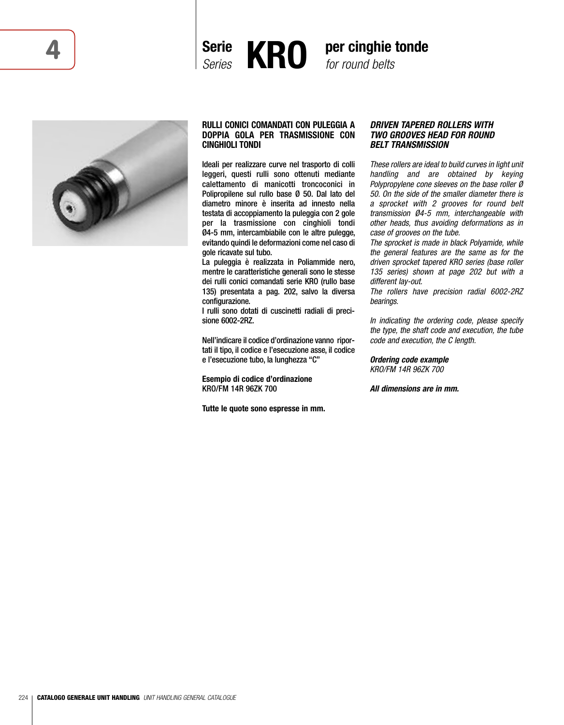





## **RULLI CONICI COMANDATI CON PULEGGIA A DOPPIA GOLA PER TRASMISSIONE CON CINGHIOLI TONDI**

Ideali per realizzare curve nel trasporto di colli leggeri, questi rulli sono ottenuti mediante calettamento di manicotti troncoconici in Polipropilene sul rullo base Ø 50. Dal lato del diametro minore è inserita ad innesto nella testata di accoppiamento la puleggia con 2 gole per la trasmissione con cinghioli tondi Ø4-5 mm, intercambiabile con le altre pulegge, evitando quindi le deformazioni come nel caso di gole ricavate sul tubo.

La puleggia è realizzata in Poliammide nero, mentre le caratteristiche generali sono le stesse dei rulli conici comandati serie KRO (rullo base 135) presentata a pag. 202, salvo la diversa configurazione.

I rulli sono dotati di cuscinetti radiali di precisione 6002-2RZ.

Nell'indicare il codice d'ordinazione vanno riportati il tipo, il codice e l'esecuzione asse, il codice e l'esecuzione tubo, la lunghezza "C"

**Esempio di codice d'ordinazione** KRO/FM 14R 96ZK 700

**Tutte le quote sono espresse in mm.**

## *DRIVEN TAPERED ROLLERS WITH TWO GROOVES HEAD FOR ROUND BELT TRANSMISSION*

*These rollers are ideal to build curves in light unit handling and are obtained by keying Polypropylene cone sleeves on the base roller Ø 50. On the side of the smaller diameter there is a sprocket with 2 grooves for round belt transmission Ø4-5 mm, interchangeable with other heads, thus avoiding deformations as in case of grooves on the tube.*

*The sprocket is made in black Polyamide, while the general features are the same as for the driven sprocket tapered KRO series (base roller 135 series) shown at page 202 but with a different lay-out.*

*The rollers have precision radial 6002-2RZ bearings.*

*In indicating the ordering code, please specify the type, the shaft code and execution, the tube code and execution, the C length.*

*Ordering code example KRO/FM 14R 96ZK 700*

*All dimensions are in mm.*